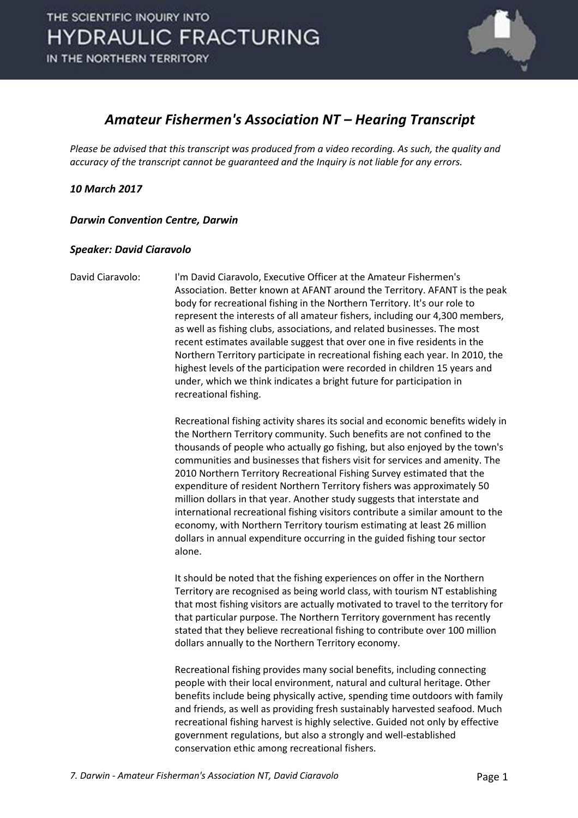

## *Amateur Fishermen's Association NT – Hearing Transcript*

*Please be advised that this transcript was produced from a video recording. As such, the quality and accuracy of the transcript cannot be guaranteed and the Inquiry is not liable for any errors.*

*10 March 2017* 

*Darwin Convention Centre, Darwin* 

## *Speaker: David Ciaravolo*

David Ciaravolo: I'm David Ciaravolo, Executive Officer at the Amateur Fishermen's Association. Better known at AFANT around the Territory. AFANT is the peak body for recreational fishing in the Northern Territory. It's our role to represent the interests of all amateur fishers, including our 4,300 members, as well as fishing clubs, associations, and related businesses. The most recent estimates available suggest that over one in five residents in the Northern Territory participate in recreational fishing each year. In 2010, the highest levels of the participation were recorded in children 15 years and under, which we think indicates a bright future for participation in recreational fishing.

> Recreational fishing activity shares its social and economic benefits widely in the Northern Territory community. Such benefits are not confined to the thousands of people who actually go fishing, but also enjoyed by the town's communities and businesses that fishers visit for services and amenity. The 2010 Northern Territory Recreational Fishing Survey estimated that the expenditure of resident Northern Territory fishers was approximately 50 million dollars in that year. Another study suggests that interstate and international recreational fishing visitors contribute a similar amount to the economy, with Northern Territory tourism estimating at least 26 million dollars in annual expenditure occurring in the guided fishing tour sector alone.

It should be noted that the fishing experiences on offer in the Northern Territory are recognised as being world class, with tourism NT establishing that most fishing visitors are actually motivated to travel to the territory for that particular purpose. The Northern Territory government has recently stated that they believe recreational fishing to contribute over 100 million dollars annually to the Northern Territory economy.

Recreational fishing provides many social benefits, including connecting people with their local environment, natural and cultural heritage. Other benefits include being physically active, spending time outdoors with family and friends, as well as providing fresh sustainably harvested seafood. Much recreational fishing harvest is highly selective. Guided not only by effective government regulations, but also a strongly and well-established conservation ethic among recreational fishers.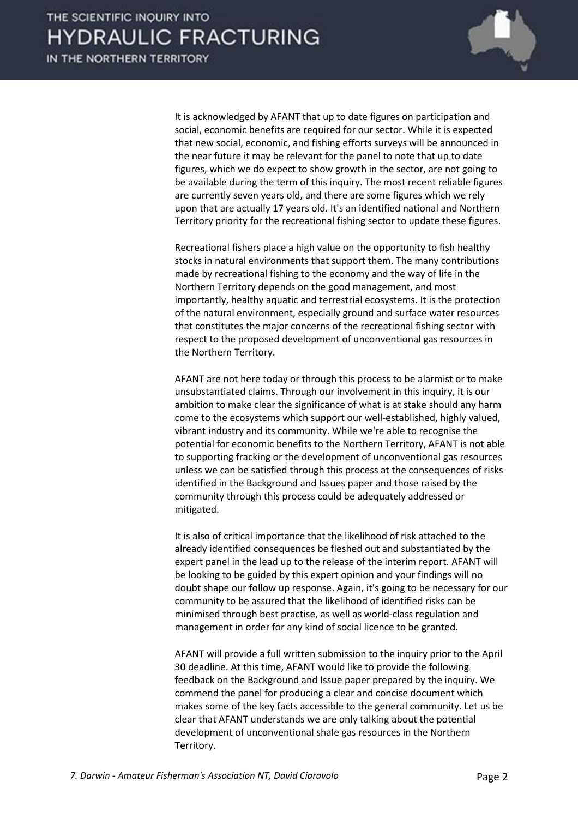

It is acknowledged by AFANT that up to date figures on participation and social, economic benefits are required for our sector. While it is expected that new social, economic, and fishing efforts surveys will be announced in the near future it may be relevant for the panel to note that up to date figures, which we do expect to show growth in the sector, are not going to be available during the term of this inquiry. The most recent reliable figures are currently seven years old, and there are some figures which we rely upon that are actually 17 years old. It's an identified national and Northern Territory priority for the recreational fishing sector to update these figures.

Recreational fishers place a high value on the opportunity to fish healthy stocks in natural environments that support them. The many contributions made by recreational fishing to the economy and the way of life in the Northern Territory depends on the good management, and most importantly, healthy aquatic and terrestrial ecosystems. It is the protection of the natural environment, especially ground and surface water resources that constitutes the major concerns of the recreational fishing sector with respect to the proposed development of unconventional gas resources in the Northern Territory.

AFANT are not here today or through this process to be alarmist or to make unsubstantiated claims. Through our involvement in this inquiry, it is our ambition to make clear the significance of what is at stake should any harm come to the ecosystems which support our well-established, highly valued, vibrant industry and its community. While we're able to recognise the potential for economic benefits to the Northern Territory, AFANT is not able to supporting fracking or the development of unconventional gas resources unless we can be satisfied through this process at the consequences of risks identified in the Background and Issues paper and those raised by the community through this process could be adequately addressed or mitigated.

It is also of critical importance that the likelihood of risk attached to the already identified consequences be fleshed out and substantiated by the expert panel in the lead up to the release of the interim report. AFANT will be looking to be guided by this expert opinion and your findings will no doubt shape our follow up response. Again, it's going to be necessary for our community to be assured that the likelihood of identified risks can be minimised through best practise, as well as world-class regulation and management in order for any kind of social licence to be granted.

AFANT will provide a full written submission to the inquiry prior to the April 30 deadline. At this time, AFANT would like to provide the following feedback on the Background and Issue paper prepared by the inquiry. We commend the panel for producing a clear and concise document which makes some of the key facts accessible to the general community. Let us be clear that AFANT understands we are only talking about the potential development of unconventional shale gas resources in the Northern Territory.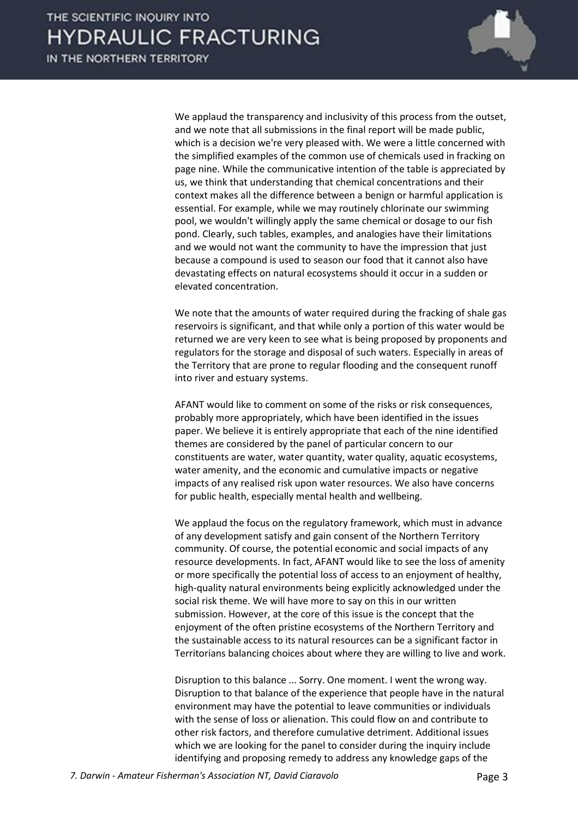

We applaud the transparency and inclusivity of this process from the outset, and we note that all submissions in the final report will be made public, which is a decision we're very pleased with. We were a little concerned with the simplified examples of the common use of chemicals used in fracking on page nine. While the communicative intention of the table is appreciated by us, we think that understanding that chemical concentrations and their context makes all the difference between a benign or harmful application is essential. For example, while we may routinely chlorinate our swimming pool, we wouldn't willingly apply the same chemical or dosage to our fish pond. Clearly, such tables, examples, and analogies have their limitations and we would not want the community to have the impression that just because a compound is used to season our food that it cannot also have devastating effects on natural ecosystems should it occur in a sudden or elevated concentration.

We note that the amounts of water required during the fracking of shale gas reservoirs is significant, and that while only a portion of this water would be returned we are very keen to see what is being proposed by proponents and regulators for the storage and disposal of such waters. Especially in areas of the Territory that are prone to regular flooding and the consequent runoff into river and estuary systems.

AFANT would like to comment on some of the risks or risk consequences, probably more appropriately, which have been identified in the issues paper. We believe it is entirely appropriate that each of the nine identified themes are considered by the panel of particular concern to our constituents are water, water quantity, water quality, aquatic ecosystems, water amenity, and the economic and cumulative impacts or negative impacts of any realised risk upon water resources. We also have concerns for public health, especially mental health and wellbeing.

We applaud the focus on the regulatory framework, which must in advance of any development satisfy and gain consent of the Northern Territory community. Of course, the potential economic and social impacts of any resource developments. In fact, AFANT would like to see the loss of amenity or more specifically the potential loss of access to an enjoyment of healthy, high-quality natural environments being explicitly acknowledged under the social risk theme. We will have more to say on this in our written submission. However, at the core of this issue is the concept that the enjoyment of the often pristine ecosystems of the Northern Territory and the sustainable access to its natural resources can be a significant factor in Territorians balancing choices about where they are willing to live and work.

Disruption to this balance ... Sorry. One moment. I went the wrong way. Disruption to that balance of the experience that people have in the natural environment may have the potential to leave communities or individuals with the sense of loss or alienation. This could flow on and contribute to other risk factors, and therefore cumulative detriment. Additional issues which we are looking for the panel to consider during the inquiry include identifying and proposing remedy to address any knowledge gaps of the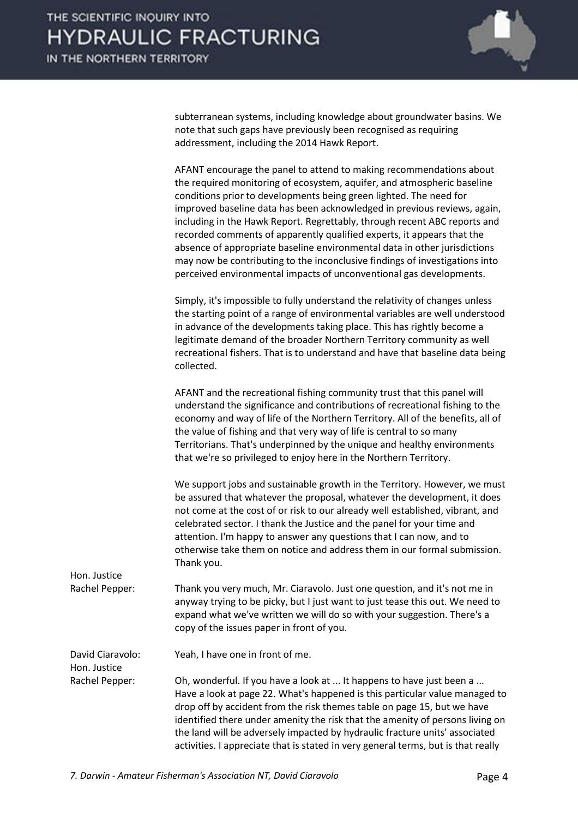

subterranean systems, including knowledge about groundwater basins. We note that such gaps have previously been recognised as requiring addressment, including the 2014 Hawk Report.

AFANT encourage the panel to attend to making recommendations about the required monitoring of ecosystem, aquifer, and atmospheric baseline conditions prior to developments being green lighted. The need for improved baseline data has been acknowledged in previous reviews, again, including in the Hawk Report. Regrettably, through recent ABC reports and recorded comments of apparently qualified experts, it appears that the absence of appropriate baseline environmental data in other jurisdictions may now be contributing to the inconclusive findings of investigations into perceived environmental impacts of unconventional gas developments.

Simply, it's impossible to fully understand the relativity of changes unless the starting point of a range of environmental variables are well understood in advance of the developments taking place. This has rightly become a legitimate demand of the broader Northern Territory community as well recreational fishers. That is to understand and have that baseline data being collected.

AFANT and the recreational fishing community trust that this panel will understand the significance and contributions of recreational fishing to the economy and way of life of the Northern Territory. All of the benefits, all of the value of fishing and that very way of life is central to so many Territorians. That's underpinned by the unique and healthy environments that we're so privileged to enjoy here in the Northern Territory.

We support jobs and sustainable growth in the Territory. However, we must be assured that whatever the proposal, whatever the development, it does not come at the cost of or risk to our already well established, vibrant, and celebrated sector. I thank the Justice and the panel for your time and attention. I'm happy to answer any questions that I can now, and to otherwise take them on notice and address them in our formal submission. Thank you.

Rachel Pepper: Thank you very much, Mr. Ciaravolo. Just one question, and it's not me in anyway trying to be picky, but I just want to just tease this out. We need to expand what we've written we will do so with your suggestion. There's a copy of the issues paper in front of you.

David Ciaravolo: Yeah, I have one in front of me.

Hon. Justice

Hon. Justice

Rachel Pepper: Oh, wonderful. If you have a look at ... It happens to have just been a ... Have a look at page 22. What's happened is this particular value managed to drop off by accident from the risk themes table on page 15, but we have identified there under amenity the risk that the amenity of persons living on the land will be adversely impacted by hydraulic fracture units' associated activities. I appreciate that is stated in very general terms, but is that really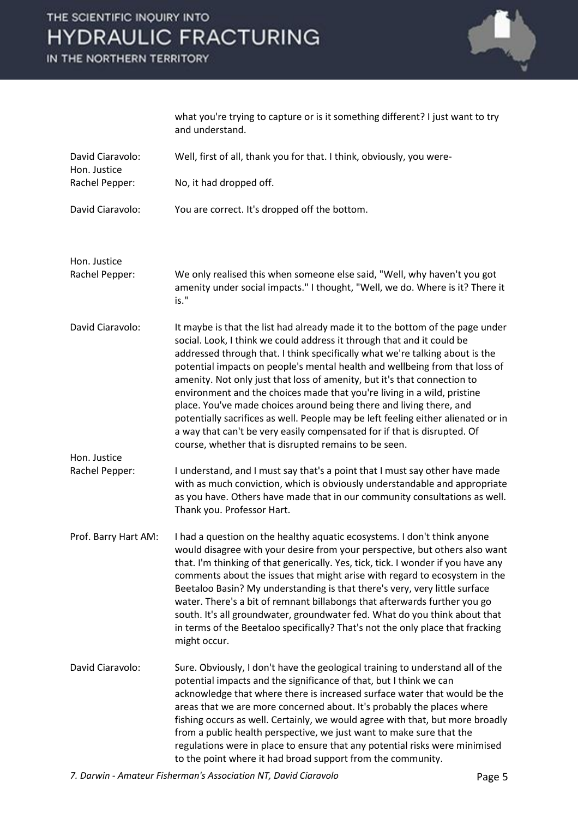## THE SCIENTIFIC INQUIRY INTO **HYDRAULIC FRACTURING**

IN THE NORTHERN TERRITORY



what you're trying to capture or is it something different? I just want to try and understand.

| David Ciaravolo:<br>Hon. Justice | Well, first of all, thank you for that. I think, obviously, you were-                                                                                                                                                                                                                                                                                                                                                                                                                                                                                                                                                                                                                                                                                                          |
|----------------------------------|--------------------------------------------------------------------------------------------------------------------------------------------------------------------------------------------------------------------------------------------------------------------------------------------------------------------------------------------------------------------------------------------------------------------------------------------------------------------------------------------------------------------------------------------------------------------------------------------------------------------------------------------------------------------------------------------------------------------------------------------------------------------------------|
| Rachel Pepper:                   | No, it had dropped off.                                                                                                                                                                                                                                                                                                                                                                                                                                                                                                                                                                                                                                                                                                                                                        |
| David Ciaravolo:                 | You are correct. It's dropped off the bottom.                                                                                                                                                                                                                                                                                                                                                                                                                                                                                                                                                                                                                                                                                                                                  |
| Hon. Justice<br>Rachel Pepper:   | We only realised this when someone else said, "Well, why haven't you got<br>amenity under social impacts." I thought, "Well, we do. Where is it? There it<br>is."                                                                                                                                                                                                                                                                                                                                                                                                                                                                                                                                                                                                              |
| David Ciaravolo:<br>Hon. Justice | It maybe is that the list had already made it to the bottom of the page under<br>social. Look, I think we could address it through that and it could be<br>addressed through that. I think specifically what we're talking about is the<br>potential impacts on people's mental health and wellbeing from that loss of<br>amenity. Not only just that loss of amenity, but it's that connection to<br>environment and the choices made that you're living in a wild, pristine<br>place. You've made choices around being there and living there, and<br>potentially sacrifices as well. People may be left feeling either alienated or in<br>a way that can't be very easily compensated for if that is disrupted. Of<br>course, whether that is disrupted remains to be seen. |
| Rachel Pepper:                   | I understand, and I must say that's a point that I must say other have made<br>with as much conviction, which is obviously understandable and appropriate<br>as you have. Others have made that in our community consultations as well.<br>Thank you. Professor Hart.                                                                                                                                                                                                                                                                                                                                                                                                                                                                                                          |
| Prof. Barry Hart AM:             | I had a question on the healthy aquatic ecosystems. I don't think anyone<br>would disagree with your desire from your perspective, but others also want<br>that. I'm thinking of that generically. Yes, tick, tick. I wonder if you have any<br>comments about the issues that might arise with regard to ecosystem in the<br>Beetaloo Basin? My understanding is that there's very, very little surface<br>water. There's a bit of remnant billabongs that afterwards further you go<br>south. It's all groundwater, groundwater fed. What do you think about that<br>in terms of the Beetaloo specifically? That's not the only place that fracking<br>might occur.                                                                                                          |
| David Ciaravolo:                 | Sure. Obviously, I don't have the geological training to understand all of the<br>potential impacts and the significance of that, but I think we can<br>acknowledge that where there is increased surface water that would be the<br>areas that we are more concerned about. It's probably the places where<br>fishing occurs as well. Certainly, we would agree with that, but more broadly<br>from a public health perspective, we just want to make sure that the<br>regulations were in place to ensure that any potential risks were minimised<br>to the point where it had broad support from the community.                                                                                                                                                             |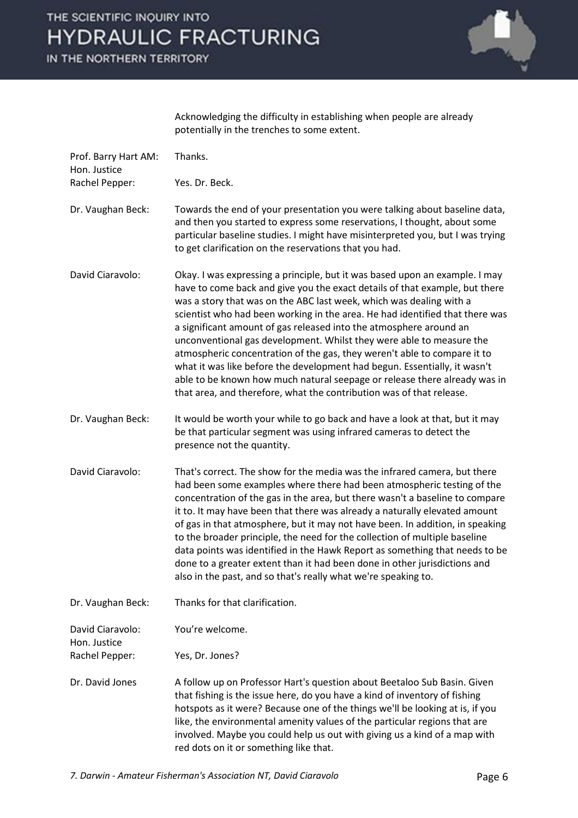

Acknowledging the difficulty in establishing when people are already potentially in the trenches to some extent.

| Prof. Barry Hart AM:<br>Hon. Justice | Thanks.                                                                                                                                                                                                                                                                                                                                                                                                                                                                                                                                                                                                                                                                                                                                                                       |
|--------------------------------------|-------------------------------------------------------------------------------------------------------------------------------------------------------------------------------------------------------------------------------------------------------------------------------------------------------------------------------------------------------------------------------------------------------------------------------------------------------------------------------------------------------------------------------------------------------------------------------------------------------------------------------------------------------------------------------------------------------------------------------------------------------------------------------|
| Rachel Pepper:                       | Yes. Dr. Beck.                                                                                                                                                                                                                                                                                                                                                                                                                                                                                                                                                                                                                                                                                                                                                                |
| Dr. Vaughan Beck:                    | Towards the end of your presentation you were talking about baseline data,<br>and then you started to express some reservations, I thought, about some<br>particular baseline studies. I might have misinterpreted you, but I was trying<br>to get clarification on the reservations that you had.                                                                                                                                                                                                                                                                                                                                                                                                                                                                            |
| David Ciaravolo:                     | Okay. I was expressing a principle, but it was based upon an example. I may<br>have to come back and give you the exact details of that example, but there<br>was a story that was on the ABC last week, which was dealing with a<br>scientist who had been working in the area. He had identified that there was<br>a significant amount of gas released into the atmosphere around an<br>unconventional gas development. Whilst they were able to measure the<br>atmospheric concentration of the gas, they weren't able to compare it to<br>what it was like before the development had begun. Essentially, it wasn't<br>able to be known how much natural seepage or release there already was in<br>that area, and therefore, what the contribution was of that release. |
| Dr. Vaughan Beck:                    | It would be worth your while to go back and have a look at that, but it may<br>be that particular segment was using infrared cameras to detect the<br>presence not the quantity.                                                                                                                                                                                                                                                                                                                                                                                                                                                                                                                                                                                              |
| David Ciaravolo:                     | That's correct. The show for the media was the infrared camera, but there<br>had been some examples where there had been atmospheric testing of the<br>concentration of the gas in the area, but there wasn't a baseline to compare<br>it to. It may have been that there was already a naturally elevated amount<br>of gas in that atmosphere, but it may not have been. In addition, in speaking<br>to the broader principle, the need for the collection of multiple baseline<br>data points was identified in the Hawk Report as something that needs to be<br>done to a greater extent than it had been done in other jurisdictions and<br>also in the past, and so that's really what we're speaking to.                                                                |
| Dr. Vaughan Beck:                    | Thanks for that clarification.                                                                                                                                                                                                                                                                                                                                                                                                                                                                                                                                                                                                                                                                                                                                                |
| David Ciaravolo:<br>Hon. Justice     | You're welcome.                                                                                                                                                                                                                                                                                                                                                                                                                                                                                                                                                                                                                                                                                                                                                               |
| Rachel Pepper:                       | Yes, Dr. Jones?                                                                                                                                                                                                                                                                                                                                                                                                                                                                                                                                                                                                                                                                                                                                                               |
| Dr. David Jones                      | A follow up on Professor Hart's question about Beetaloo Sub Basin. Given<br>that fishing is the issue here, do you have a kind of inventory of fishing<br>hotspots as it were? Because one of the things we'll be looking at is, if you<br>like, the environmental amenity values of the particular regions that are<br>involved. Maybe you could help us out with giving us a kind of a map with<br>red dots on it or something like that.                                                                                                                                                                                                                                                                                                                                   |